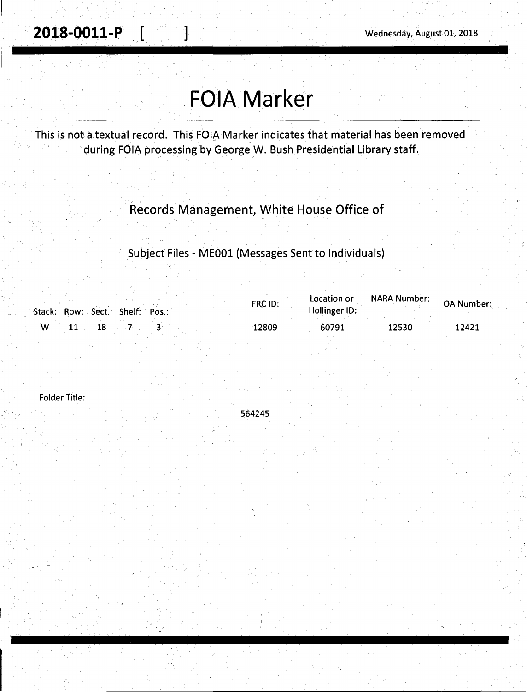. **2018-0011-P** [ ] Wednesday,. August 01, 2018

## **FOIA Marker**

This is not a textual record. This FOIA Marker indicates that material has been removed during FOIA processing by George W. Bush Presidential Library staff.

Records Management, White House Office of

Subject Files - MEOOl (Messages Sent to Individuals)

|   |  | Stack: Row: Sect.: Shelf: Pos.: | FRC ID: | Location or<br>Hollinger ID: | <b>NARA Number:</b> | <b>OA Number:</b> |
|---|--|---------------------------------|---------|------------------------------|---------------------|-------------------|
| w |  |                                 | 12809   | 60791                        | 12530               | 12421             |

564245

Folder Title: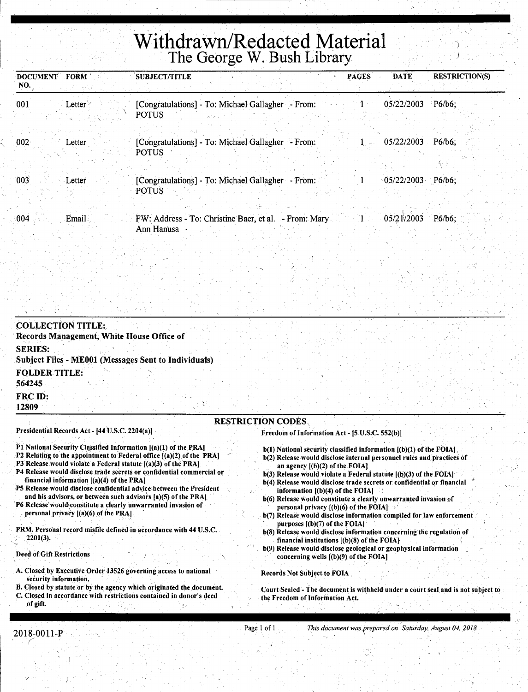## **Withdrawn/Redacted Material**  · The George W. Bush Library

| DOCUMENT FORM<br>NO. |        | <b>SUBJECT/TITLE</b>                                                             | <b>PAGES</b> | <b>DATE</b>         | <b>RESTRICTION(S)</b> |
|----------------------|--------|----------------------------------------------------------------------------------|--------------|---------------------|-----------------------|
| 001                  | Letter | [Congratulations] - To: Michael Gallagher - From: 1<br><b>POTUS</b>              |              | 05/22/2003          | $P6/b6$ :             |
| 002 <sub>1</sub>     | Letter | [Congratulations] - To: Michael Gallagher - From:<br><b>POTUS</b>                | <b>Advis</b> | 05/22/2003          | $P6/b6$ :             |
| 003                  | Letter | [Congratulations] - To: Michael Gallagher - From:<br><b>POTUS</b>                |              | $05/22/2003$ P6/b6; |                       |
| :004:                | Email  | FW: Address - To: Christine Baer, et al. - From: Mary 1 05/21/2003<br>Ann Hanusa |              |                     | $P6/b6$ :             |

| <b>COLLECTION TITLE:</b><br>Records Management, White House Office of         |                                                |                                                                        |
|-------------------------------------------------------------------------------|------------------------------------------------|------------------------------------------------------------------------|
| <b>SERIES:</b><br><b>Subject Files - ME001 (Messages Sent to Individuals)</b> |                                                |                                                                        |
| <b>FOLDER TITLE:</b><br>564245                                                |                                                |                                                                        |
| FRC ID:<br>12809                                                              |                                                |                                                                        |
|                                                                               | <b>RESTRICTION CODES</b>                       |                                                                        |
| Presidential Records Act - [44 U.S.C. 2204(a)]                                | Freedom of Information Act - [5 U.S.C. 552(b)] |                                                                        |
| P1 National Security Classified Information [(a)(1) of the PRA]               |                                                | $b(1)$ National security classified information $[(b)(1)$ of the FOIA. |

- P2 Relating to the appointment to Federal office [(a)(2) of the PRA]
- P3 Release.would violate a Federal statute [(a)(3) of the PRA] P4 Release would disclose trade secrets or confidential commercial or
- financial information  $[(a)(4)$  of the PRA]
- P5 Release would disclose confidential advice between the President and his advisors, or between such advisors [a)(5) of the PRA)
- P6 Release'would\constitute a clearly unwarranted invasion of . personal privacy [(a)(6) of the PRA].
- PRM. Personal record misfile defined in accordance with 44 U.S.C. 2201(3).
- Deed of Gift Restrictions
- A. Closed by Executive Order 13526 governing access to national security information.
- B. Closed by statute or by the agency which originated the.document. C. Closed in accordance with restrittions contained in donor's deed
- of gift.

b(2) Release would disclose internal personnel rules and practices of

' )

- an agency ((b)(2) of the FOIAJ
- b(3) Release would violate a Federal statute [(b)(3) of the FOlA)
- b(4) Release would disclose trade secrets or confidential or financial information [(b)(4) of the FOiA]
- b(6) Release would constitute a clearly unwarranted invasion of personal privacy  $[(b)(6)$  of the FOIA]
- b(7) Release would disclose information compiled for law enforcement purposes [(b)(7) of the FOIA]
- b(8) Release would disclose information concerning the regulation of financial institutions  $[(b)(8)$  of the FOIA]
- b(9) Release would disclose geological or geophysical information concerning wells [(b)(9) of the fOIA)

Records Not Subject to FOIA,

Court Sealed - The document is withheld under a court seal and is not subject to the Freedom of Information Act.

,--------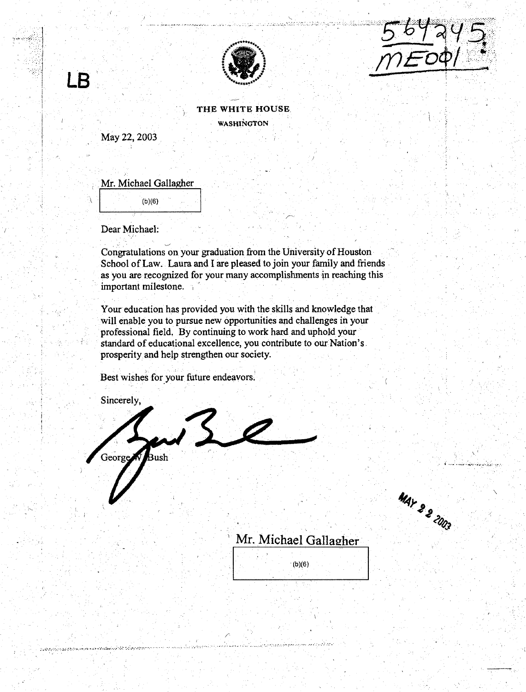

suu luustaa tätöt



## THE WHITE HOUSE. WASHINGTON

May22, 2003

 $\overline{\mathsf{B}}$ 

цý.

Mr. Michael Gallagher

 $\begin{array}{|c|c|c|}\n\hline\n\end{array}$   $(b)(6)$ 

Dear Michael:

Congratulations on your graduation from the University of Houston School of Law. Laura and I are pleased to join your family and friends as you are recognized for your many accomplishments in reaching this important milestone.

Your education has provided you with the skills and knowledge that will enable you to pursue new opportunities and challenges in your professional field, By continuing to work hard and uphold your standard of educational excellence, you contribute to our Nation's. prosperity and help strengthen our society.

Best wishes for your future endeavors.

Sincerely,

public consultation

George 3ush

MAY 22 ZDO3

 $\sqrt{t}$ . . . ' ' ...... ~ ...... -........ ·;..·.., .. ~·· .t.-:-· ~,~ *:.* 

 $\overline{\phantom{a}}$ 

## Mr. Michael Gallagher

|        | $\overline{\cdots}$ |  |
|--------|---------------------|--|
| (h)(6) |                     |  |
|        |                     |  |

•• *J* ........ ~ J.•.. ... . ... ,., .·: •. :: .·.- •·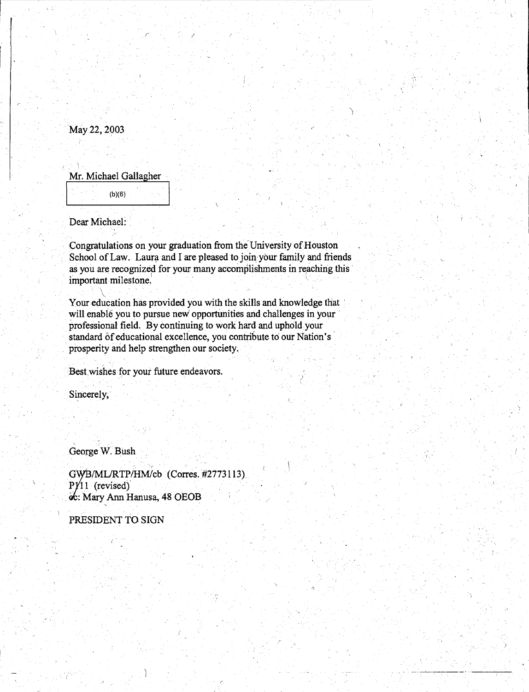May22, 2003

Mr. Michael Gallagher (b)(6)

 $\mathcal{C}^{\mathcal{I}}$  , and  $\mathcal{C}^{\mathcal{I}}$  , and  $\mathcal{C}^{\mathcal{I}}$ 

Dear Michael:

 $\sqrt{2}$ 

Congratulations on your graduation from the University of Houston School of Law. Laura and I are pleased to join your family and friends as you are recognized for your many accomplishments in reaching this important milestone. • '· ·

Your education has provided you with the skills and knowledge that ' will enable you to pursue new' opportimities and challenges in your professional field. By continuing to work hard and uphold your standard of educational excellence, you contribute to our Nation's prosperity and help strengthen our society.

 $_{\rm 2}$  ,  $_{\rm 1}$  ,  $_{\rm 2}$  ,  $_{\rm 3}$  ,  $_{\rm 4}$  ,  $_{\rm 5}$  ,  $_{\rm 7}$  ,  $_{\rm 8}$  ,  $_{\rm 1}$  ,  $_{\rm 1}$  ,  $_{\rm 1}$  ,  $_{\rm 1}$  ,  $_{\rm 1}$ 

Best wishes for your future endeavors.

Sincerely,

George W. Bush

GWB/ML/RTP/HM/cb (Corres. #2773113).  $PY11$  (revised) oc: Mary Ann Hanusa, 48 OEOB

PRESIDENT TO SIGN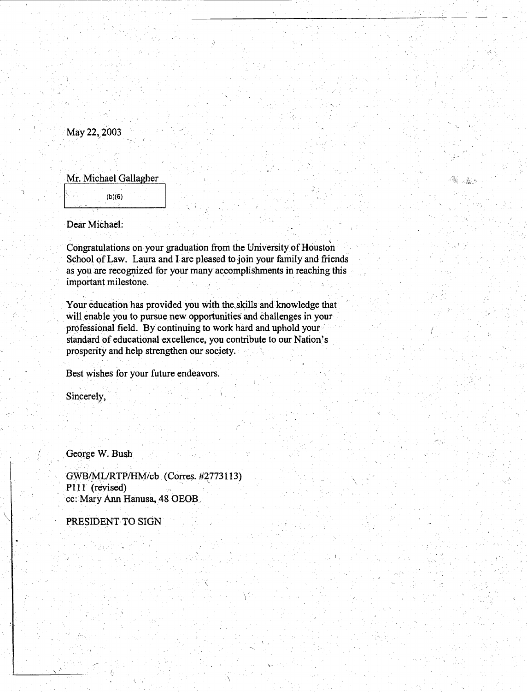May 22, 2003

Mr. Michael Gallagher

(b)(6)

Dear Michael:

Congratulations on your graduation from the University of Houston School of Law. Laura and I are pleased to join your family and friends as you are recognized for your many accomplishments in reaching this important milestone.

*)·* 

驚し弱う

Your education has provided you with the skills and knowledge that will enable you to pursue new opportunities and challenges in your professional field. By continuing to work hard and uphold your standard of educational excellence, you contribute to our Nation's prosperity and help strengthen our society.

Best wishes for your future endeavors.

Sincerely,

 $\setminus\,$ 

George W. Bush

GWB/MLIRTP/HM/cb (Corres. #2?73113) P111 (revised) cc: Mary Ann Hanusa, 48 OEOB.

PRESIDENT TO SIGN